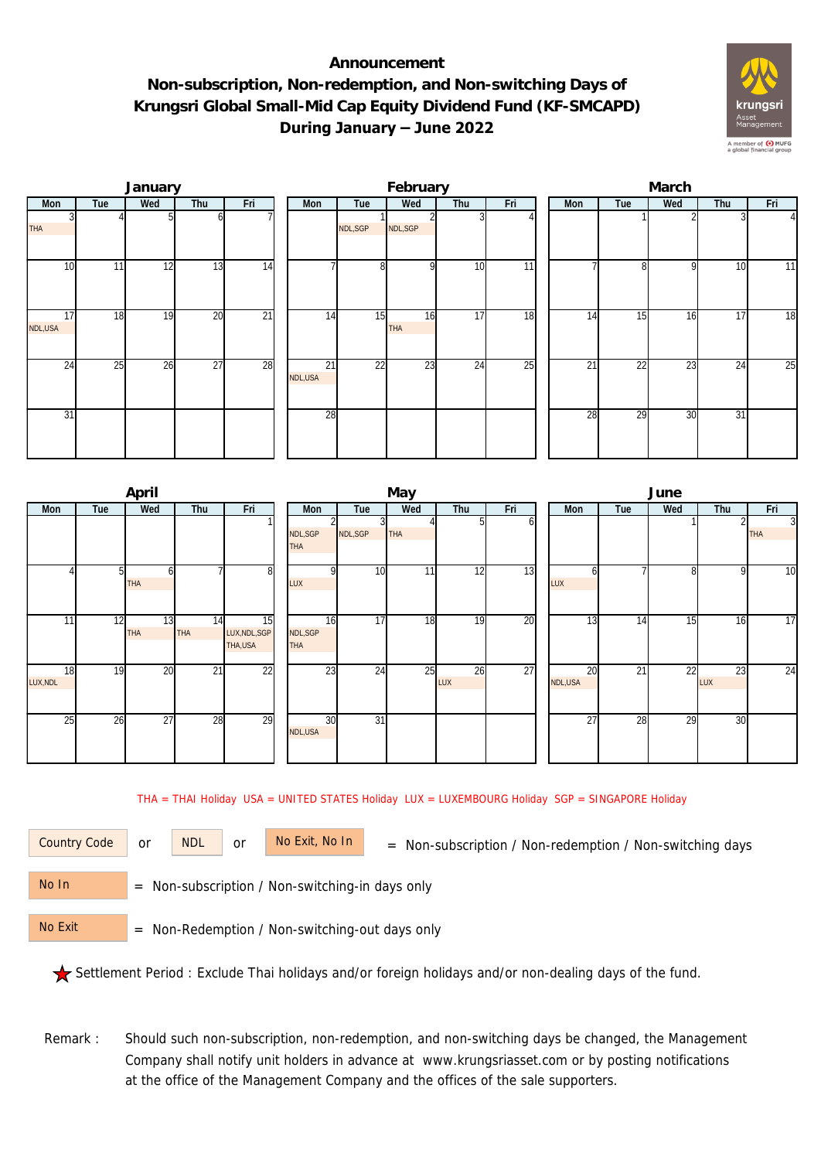## **Announcement Non-subscription, Non-redemption, and Non-switching Days of Krungsri Global Small-Mid Cap Equity Dividend Fund (KF-SMCAPD) During January – June 2022**



|               |     | January |                 |                 |               |         | February         |     |                 | March |                 |              |     |                |  |  |
|---------------|-----|---------|-----------------|-----------------|---------------|---------|------------------|-----|-----------------|-------|-----------------|--------------|-----|----------------|--|--|
| Mon           | Tue | Wed     | Thu             | Fri             | Mon           | Tue     | Wed              | Thu | Fri             | Mon   | Tue             | Wed          | Thu | Fri            |  |  |
| <b>THA</b>    |     |         | οı              |                 |               | NDL,SGP | NDL,SGP          |     |                 |       |                 |              |     | $\overline{4}$ |  |  |
| 10            | 11  | 12      | 13              | 14              |               | 8       | $\Omega$         | 10  | 11 <sub>1</sub> |       | $\mathbf{g}$    | $\mathsf{Q}$ | 10  | 11             |  |  |
| 17<br>NDL,USA | 18  | 19      | 20              | $\overline{21}$ | 14            | 15      | 16<br><b>THA</b> | 17  | 18              | 14    | 15              | 16           | 17  | 18             |  |  |
| 24            | 25  | 26      | $\overline{27}$ | 28              | 21<br>NDL,USA | 22      | 23               | 24  | 25              | 21    | $\overline{22}$ | 23           | 24  | 25             |  |  |
| 31            |     |         |                 |                 | 28            |         |                  |     |                 | 28    | $\overline{29}$ | 30           | 31  |                |  |  |

|                |     | April            |                 |                                |                             |                 | May        |           |     | June            |     |              |           |                              |  |
|----------------|-----|------------------|-----------------|--------------------------------|-----------------------------|-----------------|------------|-----------|-----|-----------------|-----|--------------|-----------|------------------------------|--|
| Mon            | Tue | Wed              | Thu             | Fri                            | Mon                         | Tue             | Wed        | Thu       | Fri | Mon             | Tue | Wed          | Thu       | Fri                          |  |
|                |     |                  |                 |                                | NDL, SGP<br><b>THA</b>      | NDL, SGP        | <b>THA</b> |           | ΩI  |                 |     |              |           | $\overline{3}$<br><b>THA</b> |  |
|                | 51  | b<br><b>THA</b>  |                 | 8                              | <sup>o</sup><br>LUX         | 10 <sup>1</sup> | 111        | 12        | 13  | LUX             |     | $\mathsf{B}$ | 9         | 10                           |  |
| 11             | 12  | 13<br><b>THA</b> | 14<br>THA       | 15<br>LUX, NDL, SGP<br>THA,USA | 16<br>NDL,SGP<br><b>THA</b> | 17              | 18         | 19        | 20  | $1\overline{3}$ | 14  | 15           | 16        | 17                           |  |
| 18<br>LUX, NDL | 19  | 20               | $\overline{21}$ | $\overline{22}$                | 23                          | 24              | 25         | 26<br>LUX | 27  | 20<br>NDL,USA   | 21  | 22           | 23<br>LUX | 24                           |  |
| 25             | 26  | 27               | 28              | 29                             | 30<br>NDL, USA              | $\overline{31}$ |            |           |     | 27              | 28  | 29           | 30        |                              |  |

THA = THAI Holiday USA = UNITED STATES Holiday LUX = LUXEMBOURG Holiday SGP = SINGAPORE Holiday

or NDL or

Country Code or NDL or No Exit, No In = Non-subscription / Non-redemption / Non-switching days

 = Non-subscription / Non-switching-in days only No In

 = Non-Redemption / Non-switching-out days only No Exit

Settlement Period : Exclude Thai holidays and/or foreign holidays and/or non-dealing days of the fund.

Remark : Should such non-subscription, non-redemption, and non-switching days be changed, the Management Company shall notify unit holders in advance at www.krungsriasset.com or by posting notifications at the office of the Management Company and the offices of the sale supporters.